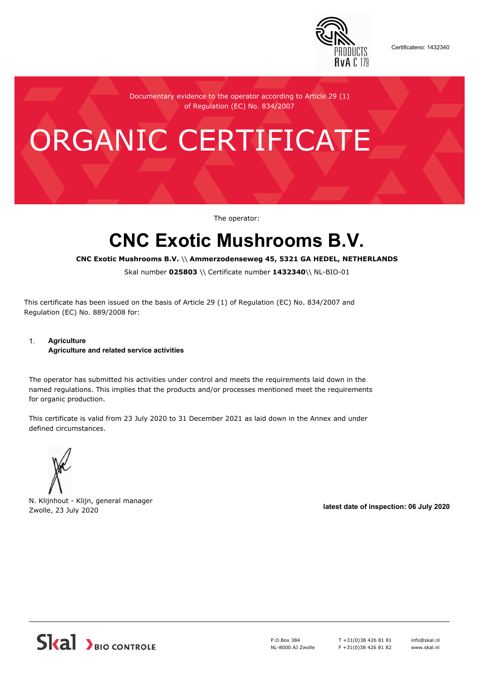

Certificateno: 1432340

Documentary evidence to the operator according to Article 29 (1) of Regulation (EC) No. 834/2007

# ORGANIC CERTIFICATE

The operator:

## **CNC Exotic Mushrooms B.V.**

**CNC Exotic Mushrooms B.V.** \\ **Ammerzodenseweg 45, 5321 GA HEDEL, NETHERLANDS**

Skal number **025803** \\ Certificate number **1432340**\\ NL-BIO-01

This certificate has been issued on the basis of Article 29 (1) of Regulation (EC) No. 834/2007 and Regulation (EC) No. 889/2008 for:

#### 1. **Agriculture Agriculture and related service activities**

The operator has submitted his activities under control and meets the requirements laid down in the named regulations. This implies that the products and/or processes mentioned meet the requirements for organic production.

This certificate is valid from 23 July 2020 to 31 December 2021 as laid down in the Annex and under defined circumstances.



N. Klijnhout - Klijn, general manager Zwolle, 23 July 2020 **latest date of inspection: 06 July 2020**



P.O.Box 384 NL-8000 AJ Zwolle T +31(0)38 426 81 81 F +31(0)38 426 81 82